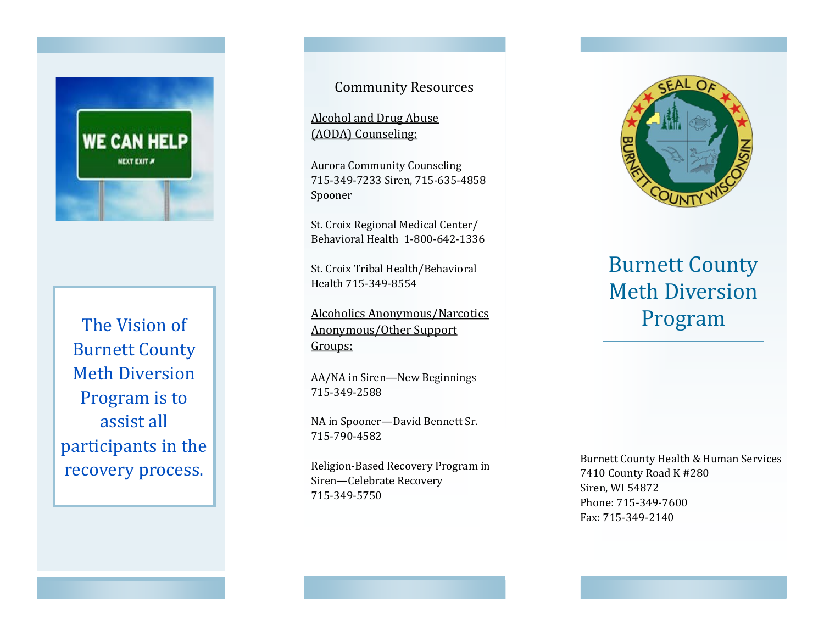

The Vision of Burnett County Meth Diversion Program is to assist all participants in the recovery process.

Community Resources

Alcohol and Drug Abuse (AODA) Counseling:

Aurora Community Counseling 715-349-7233 Siren, 715-635-4858 Spooner

St. Croix Regional Medical Center/ Behavioral Health 1-800-642-1336

St. Croix Tribal Health/Behavioral Health 715-349-8554

Alcoholics Anonymous/Narcotics Anonymous/Other Support Groups:

AA/NA in Siren—New Beginnings 715-349-2588

NA in Spooner—David Bennett Sr. 715-790-4582

Religion-Based Recovery Program in Siren—Celebrate Recovery 715-349-5750



## Burnett County Meth Diversion Program

Burnett County Health & Human Services 7410 County Road K #280 Siren, WI 54872 Phone: 715-349-7600 Fax: 715-349-2140